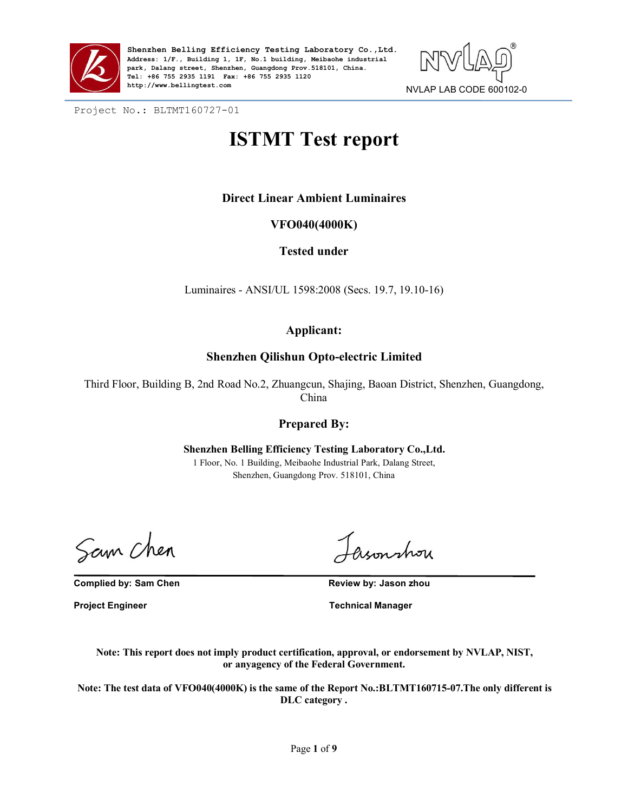



Project No.: BLTMT160727-01

# **ISTMT Test report**

# **Direct Linear Ambient Luminaires**

# **VFO040(4000K)**

# **Tested under**

Luminaires - ANSI/UL 1598:2008 (Secs. 19.7, 19.10-16)

# **Applicant:**

## **Shenzhen Qilishun Opto-electric Limited**

Third Floor, Building B, 2nd Road No.2, Zhuangcun, Shajing, Baoan District, Shenzhen, Guangdong, China

# **Prepared By:**

**Shenzhen Belling Efficiency Testing Laboratory Co.,Ltd.** 1 Floor, No. 1 Building, Meibaohe Industrial Park, Dalang Street, Shenzhen, Guangdong Prov. 518101, China

Sam Chen

**Complied by: Sam Chen Review by: Jason zhou**

asonshou

**Project Engineer Technical Manager**

**Note: This report does not imply product certification, approval, or endorsement by NVLAP, NIST, or anyagency of the Federal Government.**

**Note: The test data of VFO040(4000K) is the same of the Report No.:BLTMT160715-07.The only different is DLC category .**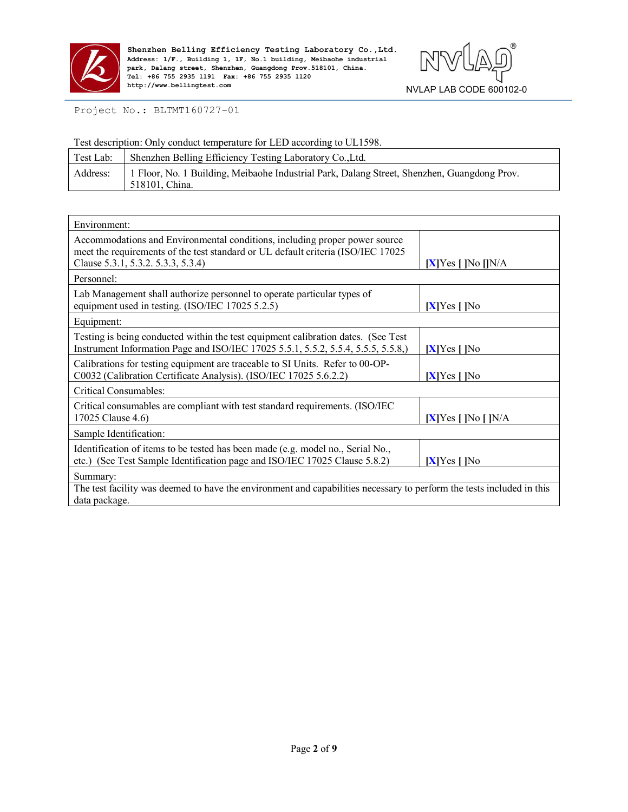



Project No.: BLTMT160727-01

Test description: Only conduct temperature for LED according to UL1598.

| Test Lab: | Shenzhen Belling Efficiency Testing Laboratory Co., Ltd.                                                      |
|-----------|---------------------------------------------------------------------------------------------------------------|
| Address:  | 1 Floor, No. 1 Building, Meibaohe Industrial Park, Dalang Street, Shenzhen, Guangdong Prov.<br>518101. China. |

| Environment:                                                                                                                                                                                         |                            |
|------------------------------------------------------------------------------------------------------------------------------------------------------------------------------------------------------|----------------------------|
| Accommodations and Environmental conditions, including proper power source<br>meet the requirements of the test standard or UL default criteria (ISO/IEC 17025<br>Clause 5.3.1, 5.3.2. 5.3.3, 5.3.4) | $[X]$ Yes $[$  No $[]$ N/A |
| Personnel:                                                                                                                                                                                           |                            |
| Lab Management shall authorize personnel to operate particular types of<br>equipment used in testing. (ISO/IEC 17025 5.2.5)                                                                          | $[X]$ Yes $[$  No          |
| Equipment:                                                                                                                                                                                           |                            |
| Testing is being conducted within the test equipment calibration dates. (See Test<br>Instrument Information Page and ISO/IEC 17025 5.5.1, 5.5.2, 5.5.4, 5.5.5, 5.5.8,)                               | $[X]$ Yes $[$  No          |
| Calibrations for testing equipment are traceable to SI Units. Refer to 00-OP-<br>C0032 (Calibration Certificate Analysis). (ISO/IEC 17025 5.6.2.2)                                                   | $[X]$ Yes $[$  No          |
| Critical Consumables:                                                                                                                                                                                |                            |
| Critical consumables are compliant with test standard requirements. (ISO/IEC<br>17025 Clause 4.6)                                                                                                    | $[X]$ Yes $[]$ No $[]$ N/A |
| Sample Identification:                                                                                                                                                                               |                            |
| Identification of items to be tested has been made (e.g. model no., Serial No.,<br>etc.) (See Test Sample Identification page and ISO/IEC 17025 Clause 5.8.2)                                        | $[X]$ Yes $[$  No          |
| Summary:                                                                                                                                                                                             |                            |
| The test facility was deemed to have the environment and capabilities necessary to perform the tests included in this<br>data package.                                                               |                            |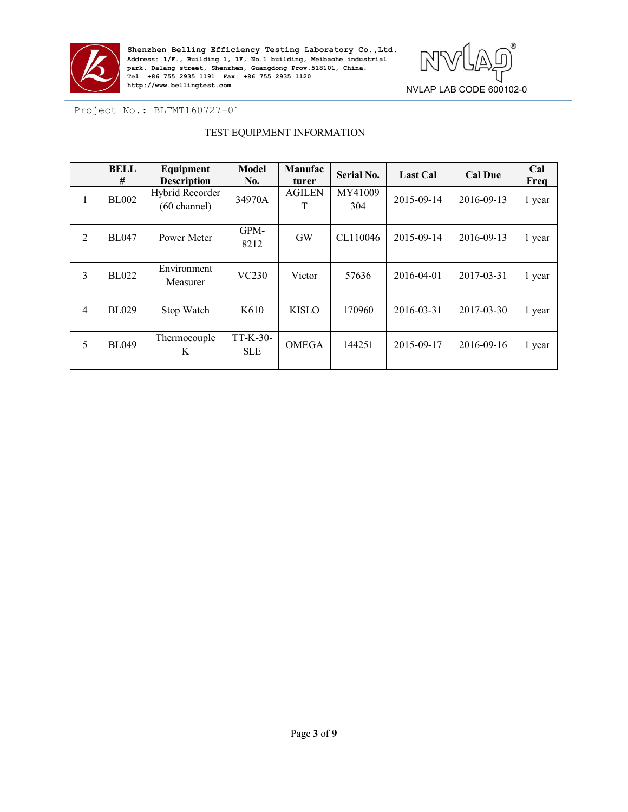



Project No.: BLTMT160727-01

### TEST EQUIPMENT INFORMATION

|                | <b>BELL</b><br># | Equipment<br><b>Description</b>           | <b>Model</b><br>No.    | Manufac<br>turer   | <b>Serial No.</b> | <b>Last Cal</b> | <b>Cal Due</b> | Cal<br>Freq |
|----------------|------------------|-------------------------------------------|------------------------|--------------------|-------------------|-----------------|----------------|-------------|
| $\mathbf{I}$   | <b>BL002</b>     | Hybrid Recorder<br>$(60 \text{ channel})$ | 34970A                 | <b>AGILEN</b><br>T | MY41009<br>304    | 2015-09-14      | 2016-09-13     | 1 year      |
| $\overline{2}$ | <b>BL047</b>     | Power Meter                               | GPM-<br>8212           | <b>GW</b>          | CL110046          | 2015-09-14      | 2016-09-13     | 1 year      |
| $\overline{3}$ | <b>BL022</b>     | Environment<br>Measurer                   | VC230                  | Victor             | 57636             | 2016-04-01      | 2017-03-31     | 1 year      |
| $\overline{4}$ | <b>BL029</b>     | Stop Watch                                | K610                   | <b>KISLO</b>       | 170960            | 2016-03-31      | 2017-03-30     | 1 year      |
| 5              | <b>BL049</b>     | Thermocouple<br>K                         | TT-K-30-<br><b>SLE</b> | <b>OMEGA</b>       | 144251            | 2015-09-17      | 2016-09-16     | 1 year      |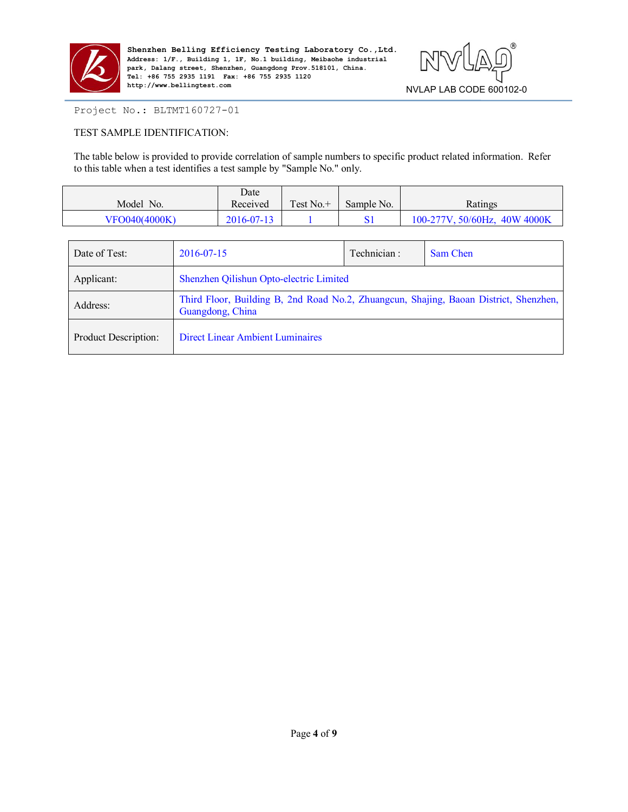

**Shenzhen Belling Efficiency Testing Laboratory Co., Ltd.**<br>Address: 1/F., Building 1, 1F, No.1 building, Meibaohe industrial<br>park, Dalang street, Shenzhen, Guangdong Prov.518101, China. **Address: 1/F., Building 1, 1F, No.1 building, Meibaohe industrial park, Dalang street, Shenzhen, Guangdong Prov.518101, China. Tel: +86 755 2935 1191 Fax: +86 755 2935 1120 http://www.bellingtest.com**



## Project No.: BLTMT160727-01

## TEST SAMPLE IDENTIFICATION:

The table below is provided to provide correlation of sample numbers to specific product related information. Refer to this table when a test identifies a test sample by "Sample No." only.

| No.<br>Model  | Date<br>$\mathbf{L}$<br>Received | $\sim$<br>Γest No.+ | Sample No. | Ratings                              |
|---------------|----------------------------------|---------------------|------------|--------------------------------------|
| VFO040(4000K) | 2016-07-13                       |                     |            | 40W 4000K<br>$50/60$ Hz<br>100-277V. |

| Date of Test:        | 2016-07-15                                                                                                | Technician: | Sam Chen |  |  |
|----------------------|-----------------------------------------------------------------------------------------------------------|-------------|----------|--|--|
| Applicant:           | Shenzhen Qilishun Opto-electric Limited                                                                   |             |          |  |  |
| Address:             | Third Floor, Building B, 2nd Road No.2, Zhuangcun, Shajing, Baoan District, Shenzhen,<br>Guangdong, China |             |          |  |  |
| Product Description: | <b>Direct Linear Ambient Luminaires</b>                                                                   |             |          |  |  |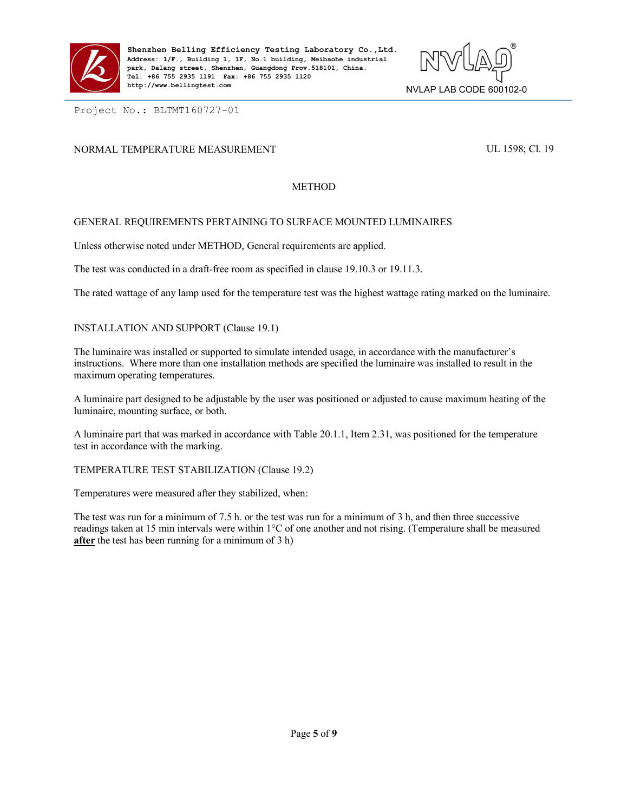



Project No.: BLTMT160727-01

## NORMAL TEMPERATURE MEASUREMENT **EXECUTE:** UL 1598; Cl. 19

### METHOD

### GENERAL REQUIREMENTS PERTAINING TO SURFACE MOUNTED LUMINAIRES

Unless otherwise noted under METHOD, General requirements are applied.

The test was conducted in a draft-free room as specified in clause 19.10.3 or 19.11.3.

The rated wattage of any lamp used for the temperature test was the highest wattage rating marked on the luminaire.

INSTALLATION AND SUPPORT (Clause 19.1)

The luminaire was installed or supported to simulate intended usage, in accordance with the manufacturer's instructions. Where more than one installation methods are specified the luminaire was installed to result in the maximum operating temperatures.

A luminaire part designed to be adjustable by the user was positioned or adjusted to cause maximum heating of the luminaire, mounting surface, or both.

A luminaire part that was marked in accordance with Table 20.1.1, Item 2.31, was positioned for the temperature test in accordance with the marking.

TEMPERATURE TEST STABILIZATION (Clause 19.2)

Temperatures were measured after they stabilized, when:

The test was run for a minimum of 7.5 h. or the test was run for a minimum of 3 h, and then three successive readings taken at 15 min intervals were within 1°C of one another and not rising. (Temperature shall be measured **after** the test has been running for a minimum of 3 h)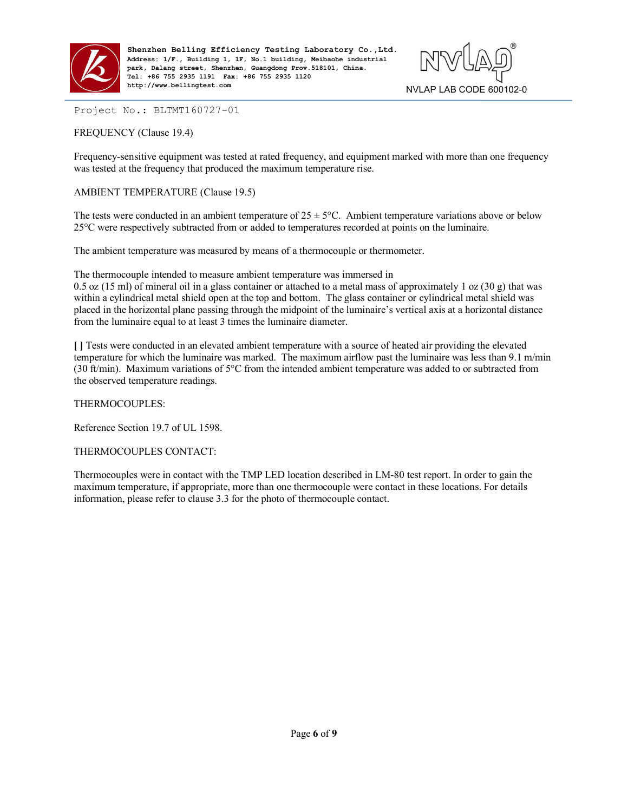



Project No.: BLTMT160727-01

FREQUENCY (Clause 19.4)

Frequency-sensitive equipment was tested at rated frequency, and equipment marked with more than one frequency was tested at the frequency that produced the maximum temperature rise.

## AMBIENT TEMPERATURE (Clause 19.5)

The tests were conducted in an ambient temperature of  $25 \pm 5^{\circ}$ C. Ambient temperature variations above or below 25°C were respectively subtracted from oradded to temperatures recorded at points on the luminaire.

The ambient temperature was measured by means of a thermocouple or thermometer.

The thermocouple intended to measure ambient temperature was immersed in

0.5 oz (15 ml) of mineral oil in a glass container or attached to a metal mass of approximately 1 oz (30 g) that was within a cylindrical metal shield open at the top and bottom. The glass container or cylindrical metal shield was placed in the horizontal plane passing through the midpoint of the luminaire's vertical axis at a horizontal distance from the luminaire equal to at least 3 times the luminaire diameter.

**[ ]** Tests were conducted in an elevated ambient temperature with a source of heated air providing the elevated temperature for which the luminaire was marked. The maximum airflow past the luminaire was less than 9.1 m/min (30 ft/min). Maximum variations of  $5^{\circ}$ C from the intended ambient temperature was added to or subtracted from the observed temperature readings.

THERMOCOUPLES:

Reference Section 19.7 of UL 1598.

### THERMOCOUPLES CONTACT:

Thermocouples were in contact with the TMP LED location described in LM-80 test report. In order to gain the maximum temperature, if appropriate, more than one thermocouple were contact in these locations. For details information, please refer to clause 3.3 for the photo of thermocouple contact.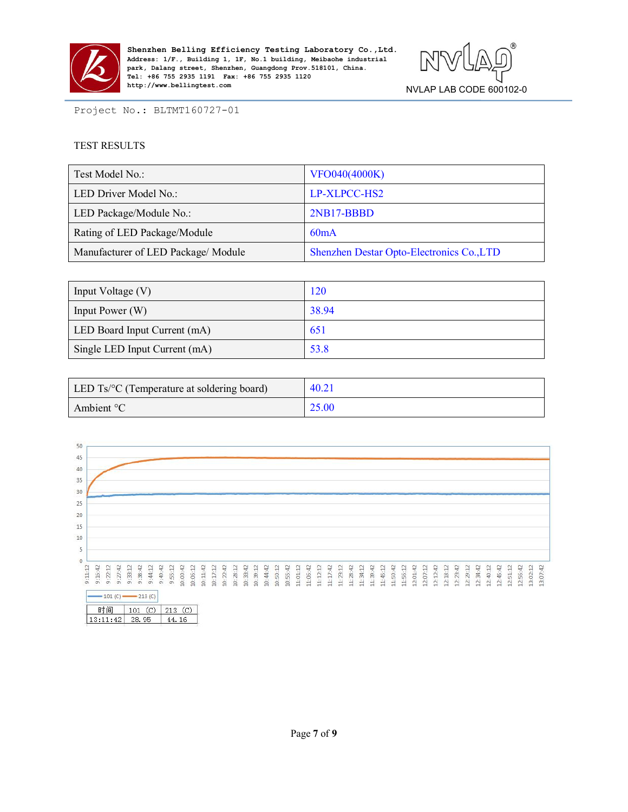

Shenzhen Belling Efficiency Testing Laboratory Co., Ltd.<br>Address: 1/F., Building 1, 1F, No.1 building, Meibaohe industrial<br>park, Dalang street, Shenzhen, Guangdong Prov.518101, China. **Address: 1/F., Building 1, 1F, No.1 building, Meibaohe industrial park, Dalang street, Shenzhen, Guangdong Prov.518101, China. Tel: +86 755 2935 1191 Fax: +86 755 2935 1120 http://www.bellingtest.com**



Project No.: BLTMT160727-01

### TEST RESULTS

| Test Model No.:                     | VFO040(4000K)                             |
|-------------------------------------|-------------------------------------------|
| LED Driver Model No.:               | LP-XLPCC-HS2                              |
| LED Package/Module No.:             | 2NB17-BBBD                                |
| Rating of LED Package/Module        | 60mA                                      |
| Manufacturer of LED Package/ Module | Shenzhen Destar Opto-Electronics Co., LTD |

| Input Voltage (V)             | 120   |
|-------------------------------|-------|
| Input Power (W)               | 38.94 |
| LED Board Input Current (mA)  | 651   |
| Single LED Input Current (mA) | 53.8  |

| LED Ts/°C (Temperature at soldering board) | 40.21 |
|--------------------------------------------|-------|
| Ambient $\mathrm{C}$                       | 25.00 |

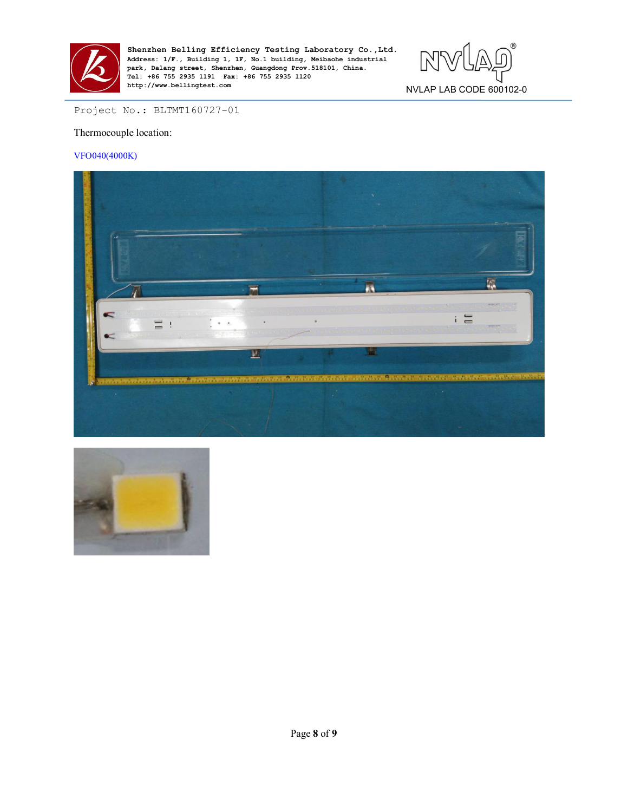



## Project No.: BLTMT160727-01

#### Thermocouple location:

#### VFO040(4000K)